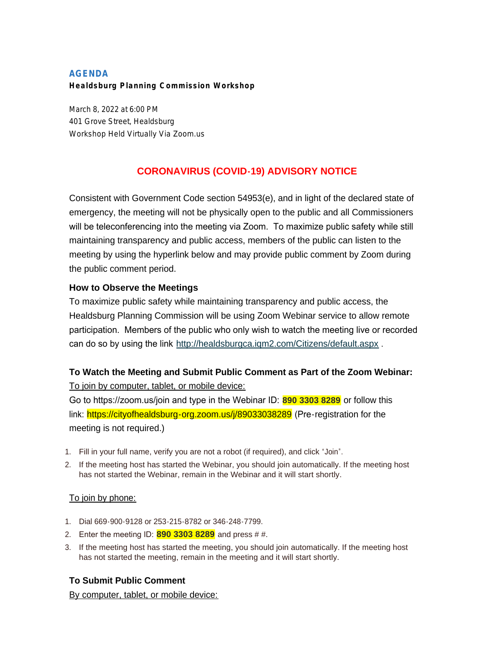### **AGENDA Healdsburg Planning Commission Workshop**

March 8, 2022 at 6:00 PM 401 Grove Street, Healdsburg *Workshop Held Virtually Via Zoom.us*

# **CORONAVIRUS (COVID-19) ADVISORY NOTICE**

Consistent with Government Code section 54953(e), and in light of the declared state of emergency, the meeting will not be physically open to the public and all Commissioners will be teleconferencing into the meeting via Zoom. To maximize public safety while still maintaining transparency and public access, members of the public can listen to the meeting by using the hyperlink below and may provide public comment by Zoom during the public comment period.

### **How to Observe the Meetings**

To maximize public safety while maintaining transparency and public access, the Healdsburg Planning Commission will be using Zoom Webinar service to allow remote participation. Members of the public who only wish to watch the meeting live or recorded can do so by using the link <http://healdsburgca.iqm2.com/Citizens/default.aspx> .

## **To Watch the Meeting and Submit Public Comment as Part of the Zoom Webinar:**

To join by computer, tablet, or mobile device:

Go to https://zoom.us/join and type in the Webinar ID: **890 3303 8289** or follow this link: https://cityofhealdsburg-org.zoom.us/j/89033038289 (Pre-registration for the meeting is not required.)

- 1. Fill in your full name, verify you are not a robot (if required), and click "Join".
- 2. If the meeting host has started the Webinar, you should join automatically. If the meeting host has not started the Webinar, remain in the Webinar and it will start shortly.

### To join by phone:

- 1. Dial 669-900-9128 or 253-215-8782 or 346-248-7799.
- 2. Enter the meeting ID: **890 3303 8289** and press # #.
- 3. If the meeting host has started the meeting, you should join automatically. If the meeting host has not started the meeting, remain in the meeting and it will start shortly.

## **To Submit Public Comment**

By computer, tablet, or mobile device: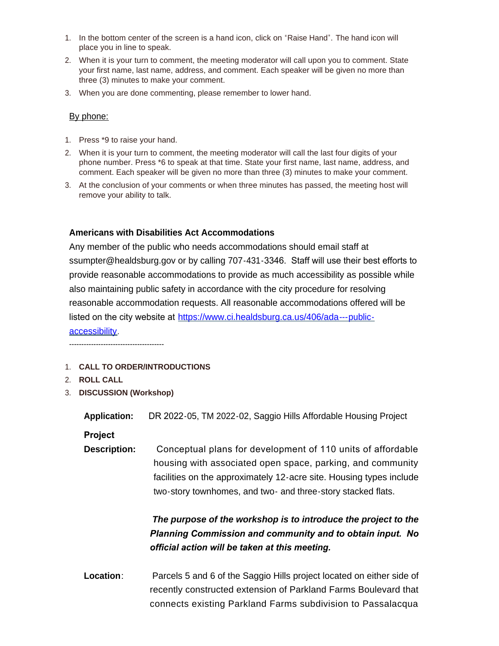- 1. In the bottom center of the screen is a hand icon, click on "Raise Hand". The hand icon will place you in line to speak.
- 2. When it is your turn to comment, the meeting moderator will call upon you to comment. State your first name, last name, address, and comment. Each speaker will be given no more than three (3) minutes to make your comment.
- 3. When you are done commenting, please remember to lower hand.

#### By phone:

- 1. Press \*9 to raise your hand.
- 2. When it is your turn to comment, the meeting moderator will call the last four digits of your phone number. Press \*6 to speak at that time. State your first name, last name, address, and comment. Each speaker will be given no more than three (3) minutes to make your comment.
- 3. At the conclusion of your comments or when three minutes has passed, the meeting host will remove your ability to talk.

#### **Americans with Disabilities Act Accommodations**

Any member of the public who needs accommodations should email staff at ssumpter@healdsburg.gov or by calling 707-431-3346. Staff will use their best efforts to provide reasonable accommodations to provide as much accessibility as possible while also maintaining public safety in accordance with the city procedure for resolving reasonable accommodation requests. All reasonable accommodations offered will be listed on the city website at [https://www.ci.healdsburg.ca.us/406/ada---public](https://www.ci.healdsburg.ca.us/406/ada---public-accessibility)accessibility.

---------------------------------------

- 1. **CALL TO ORDER/INTRODUCTIONS**
- 2. **ROLL CALL**
- 3. **DISCUSSION (Workshop)**

**Application:** DR 2022-05, TM 2022-02, Saggio Hills Affordable Housing Project

**Project** 

**Description:** Conceptual plans for development of 110 units of affordable housing with associated open space, parking, and community facilities on the approximately 12-acre site. Housing types include two-story townhomes, and two- and three-story stacked flats.

# *The purpose of the workshop is to introduce the project to the Planning Commission and community and to obtain input. No official action will be taken at this meeting.*

**Location**: Parcels 5 and 6 of the Saggio Hills project located on either side of recently constructed extension of Parkland Farms Boulevard that connects existing Parkland Farms subdivision to Passalacqua